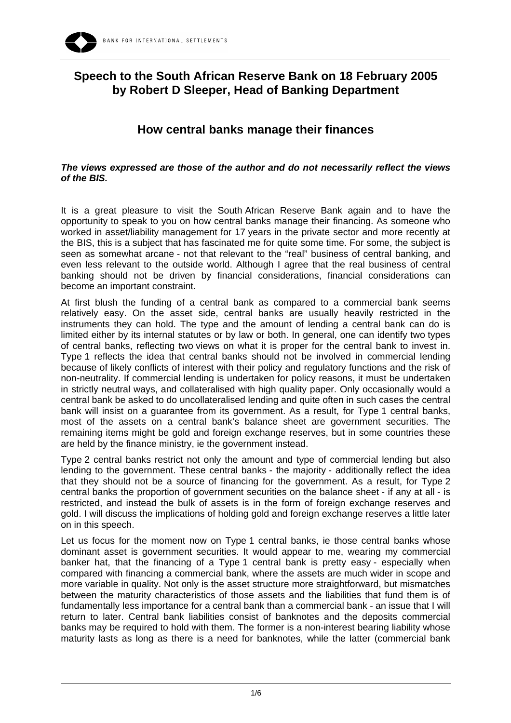

## **Speech to the South African Reserve Bank on 18 February 2005 by Robert D Sleeper, Head of Banking Department**

## **How central banks manage their finances**

## *The views expressed are those of the author and do not necessarily reflect the views of the BIS.*

It is a great pleasure to visit the South African Reserve Bank again and to have the opportunity to speak to you on how central banks manage their financing. As someone who worked in asset/liability management for 17 years in the private sector and more recently at the BIS, this is a subject that has fascinated me for quite some time. For some, the subject is seen as somewhat arcane - not that relevant to the "real" business of central banking, and even less relevant to the outside world. Although I agree that the real business of central banking should not be driven by financial considerations, financial considerations can become an important constraint.

At first blush the funding of a central bank as compared to a commercial bank seems relatively easy. On the asset side, central banks are usually heavily restricted in the instruments they can hold. The type and the amount of lending a central bank can do is limited either by its internal statutes or by law or both. In general, one can identify two types of central banks, reflecting two views on what it is proper for the central bank to invest in. Type 1 reflects the idea that central banks should not be involved in commercial lending because of likely conflicts of interest with their policy and regulatory functions and the risk of non-neutrality. If commercial lending is undertaken for policy reasons, it must be undertaken in strictly neutral ways, and collateralised with high quality paper. Only occasionally would a central bank be asked to do uncollateralised lending and quite often in such cases the central bank will insist on a guarantee from its government. As a result, for Type 1 central banks, most of the assets on a central bank's balance sheet are government securities. The remaining items might be gold and foreign exchange reserves, but in some countries these are held by the finance ministry, ie the government instead.

Type 2 central banks restrict not only the amount and type of commercial lending but also lending to the government. These central banks - the majority - additionally reflect the idea that they should not be a source of financing for the government. As a result, for Type 2 central banks the proportion of government securities on the balance sheet - if any at all - is restricted, and instead the bulk of assets is in the form of foreign exchange reserves and gold. I will discuss the implications of holding gold and foreign exchange reserves a little later on in this speech.

Let us focus for the moment now on Type 1 central banks, ie those central banks whose dominant asset is government securities. It would appear to me, wearing my commercial banker hat, that the financing of a Type 1 central bank is pretty easy - especially when compared with financing a commercial bank, where the assets are much wider in scope and more variable in quality. Not only is the asset structure more straightforward, but mismatches between the maturity characteristics of those assets and the liabilities that fund them is of fundamentally less importance for a central bank than a commercial bank - an issue that I will return to later. Central bank liabilities consist of banknotes and the deposits commercial banks may be required to hold with them. The former is a non-interest bearing liability whose maturity lasts as long as there is a need for banknotes, while the latter (commercial bank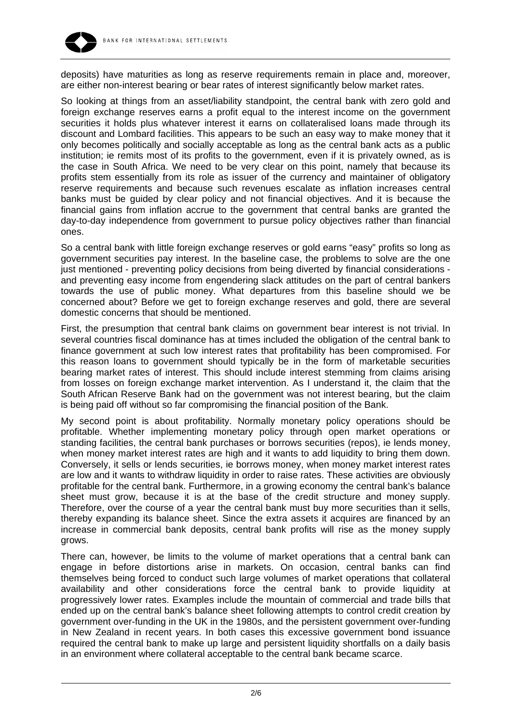

deposits) have maturities as long as reserve requirements remain in place and, moreover, are either non-interest bearing or bear rates of interest significantly below market rates.

So looking at things from an asset/liability standpoint, the central bank with zero gold and foreign exchange reserves earns a profit equal to the interest income on the government securities it holds plus whatever interest it earns on collateralised loans made through its discount and Lombard facilities. This appears to be such an easy way to make money that it only becomes politically and socially acceptable as long as the central bank acts as a public institution; ie remits most of its profits to the government, even if it is privately owned, as is the case in South Africa. We need to be very clear on this point, namely that because its profits stem essentially from its role as issuer of the currency and maintainer of obligatory reserve requirements and because such revenues escalate as inflation increases central banks must be guided by clear policy and not financial objectives. And it is because the financial gains from inflation accrue to the government that central banks are granted the day-to-day independence from government to pursue policy objectives rather than financial ones.

So a central bank with little foreign exchange reserves or gold earns "easy" profits so long as government securities pay interest. In the baseline case, the problems to solve are the one just mentioned - preventing policy decisions from being diverted by financial considerations and preventing easy income from engendering slack attitudes on the part of central bankers towards the use of public money. What departures from this baseline should we be concerned about? Before we get to foreign exchange reserves and gold, there are several domestic concerns that should be mentioned.

First, the presumption that central bank claims on government bear interest is not trivial. In several countries fiscal dominance has at times included the obligation of the central bank to finance government at such low interest rates that profitability has been compromised. For this reason loans to government should typically be in the form of marketable securities bearing market rates of interest. This should include interest stemming from claims arising from losses on foreign exchange market intervention. As I understand it, the claim that the South African Reserve Bank had on the government was not interest bearing, but the claim is being paid off without so far compromising the financial position of the Bank.

My second point is about profitability. Normally monetary policy operations should be profitable. Whether implementing monetary policy through open market operations or standing facilities, the central bank purchases or borrows securities (repos), ie lends money, when money market interest rates are high and it wants to add liquidity to bring them down. Conversely, it sells or lends securities, ie borrows money, when money market interest rates are low and it wants to withdraw liquidity in order to raise rates. These activities are obviously profitable for the central bank. Furthermore, in a growing economy the central bank's balance sheet must grow, because it is at the base of the credit structure and money supply. Therefore, over the course of a year the central bank must buy more securities than it sells, thereby expanding its balance sheet. Since the extra assets it acquires are financed by an increase in commercial bank deposits, central bank profits will rise as the money supply grows.

There can, however, be limits to the volume of market operations that a central bank can engage in before distortions arise in markets. On occasion, central banks can find themselves being forced to conduct such large volumes of market operations that collateral availability and other considerations force the central bank to provide liquidity at progressively lower rates. Examples include the mountain of commercial and trade bills that ended up on the central bank's balance sheet following attempts to control credit creation by government over-funding in the UK in the 1980s, and the persistent government over-funding in New Zealand in recent years. In both cases this excessive government bond issuance required the central bank to make up large and persistent liquidity shortfalls on a daily basis in an environment where collateral acceptable to the central bank became scarce.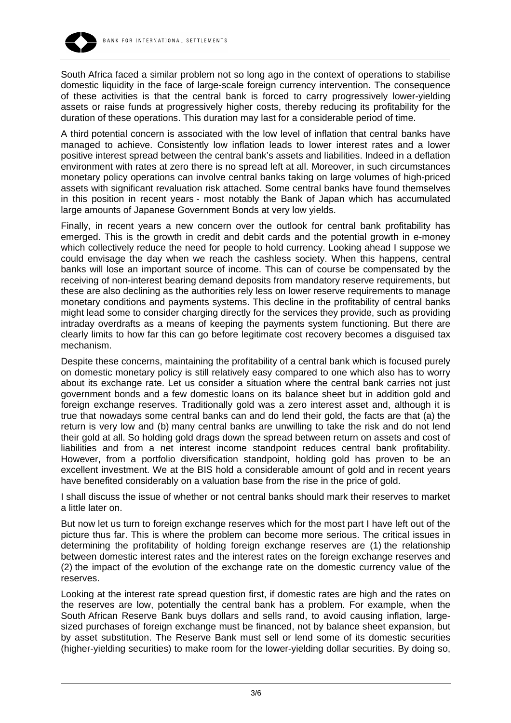

South Africa faced a similar problem not so long ago in the context of operations to stabilise domestic liquidity in the face of large-scale foreign currency intervention. The consequence of these activities is that the central bank is forced to carry progressively lower-yielding assets or raise funds at progressively higher costs, thereby reducing its profitability for the duration of these operations. This duration may last for a considerable period of time.

A third potential concern is associated with the low level of inflation that central banks have managed to achieve. Consistently low inflation leads to lower interest rates and a lower positive interest spread between the central bank's assets and liabilities. Indeed in a deflation environment with rates at zero there is no spread left at all. Moreover, in such circumstances monetary policy operations can involve central banks taking on large volumes of high-priced assets with significant revaluation risk attached. Some central banks have found themselves in this position in recent years - most notably the Bank of Japan which has accumulated large amounts of Japanese Government Bonds at very low yields.

Finally, in recent years a new concern over the outlook for central bank profitability has emerged. This is the growth in credit and debit cards and the potential growth in e-money which collectively reduce the need for people to hold currency. Looking ahead I suppose we could envisage the day when we reach the cashless society. When this happens, central banks will lose an important source of income. This can of course be compensated by the receiving of non-interest bearing demand deposits from mandatory reserve requirements, but these are also declining as the authorities rely less on lower reserve requirements to manage monetary conditions and payments systems. This decline in the profitability of central banks might lead some to consider charging directly for the services they provide, such as providing intraday overdrafts as a means of keeping the payments system functioning. But there are clearly limits to how far this can go before legitimate cost recovery becomes a disguised tax mechanism.

Despite these concerns, maintaining the profitability of a central bank which is focused purely on domestic monetary policy is still relatively easy compared to one which also has to worry about its exchange rate. Let us consider a situation where the central bank carries not just government bonds and a few domestic loans on its balance sheet but in addition gold and foreign exchange reserves. Traditionally gold was a zero interest asset and, although it is true that nowadays some central banks can and do lend their gold, the facts are that (a) the return is very low and (b) many central banks are unwilling to take the risk and do not lend their gold at all. So holding gold drags down the spread between return on assets and cost of liabilities and from a net interest income standpoint reduces central bank profitability. However, from a portfolio diversification standpoint, holding gold has proven to be an excellent investment. We at the BIS hold a considerable amount of gold and in recent years have benefited considerably on a valuation base from the rise in the price of gold.

I shall discuss the issue of whether or not central banks should mark their reserves to market a little later on.

But now let us turn to foreign exchange reserves which for the most part I have left out of the picture thus far. This is where the problem can become more serious. The critical issues in determining the profitability of holding foreign exchange reserves are (1) the relationship between domestic interest rates and the interest rates on the foreign exchange reserves and (2) the impact of the evolution of the exchange rate on the domestic currency value of the reserves.

Looking at the interest rate spread question first, if domestic rates are high and the rates on the reserves are low, potentially the central bank has a problem. For example, when the South African Reserve Bank buys dollars and sells rand, to avoid causing inflation, largesized purchases of foreign exchange must be financed, not by balance sheet expansion, but by asset substitution. The Reserve Bank must sell or lend some of its domestic securities (higher-yielding securities) to make room for the lower-yielding dollar securities. By doing so,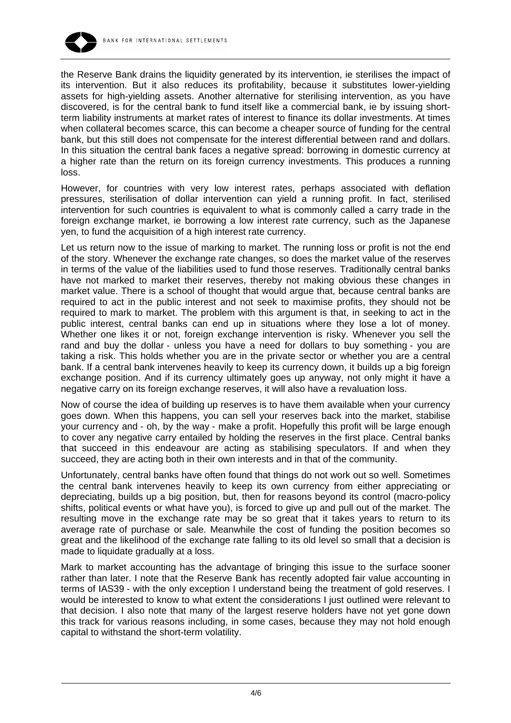

the Reserve Bank drains the liquidity generated by its intervention, ie sterilises the impact of its intervention. But it also reduces its profitability, because it substitutes lower-yielding assets for high-yielding assets. Another alternative for sterilising intervention, as you have discovered, is for the central bank to fund itself like a commercial bank, ie by issuing shortterm liability instruments at market rates of interest to finance its dollar investments. At times when collateral becomes scarce, this can become a cheaper source of funding for the central bank, but this still does not compensate for the interest differential between rand and dollars. In this situation the central bank faces a negative spread: borrowing in domestic currency at a higher rate than the return on its foreign currency investments. This produces a running loss.

However, for countries with very low interest rates, perhaps associated with deflation pressures, sterilisation of dollar intervention can yield a running profit. In fact, sterilised intervention for such countries is equivalent to what is commonly called a carry trade in the foreign exchange market, ie borrowing a low interest rate currency, such as the Japanese yen, to fund the acquisition of a high interest rate currency.

Let us return now to the issue of marking to market. The running loss or profit is not the end of the story. Whenever the exchange rate changes, so does the market value of the reserves in terms of the value of the liabilities used to fund those reserves. Traditionally central banks have not marked to market their reserves, thereby not making obvious these changes in market value. There is a school of thought that would argue that, because central banks are required to act in the public interest and not seek to maximise profits, they should not be required to mark to market. The problem with this argument is that, in seeking to act in the public interest, central banks can end up in situations where they lose a lot of money. Whether one likes it or not, foreign exchange intervention is risky. Whenever you sell the rand and buy the dollar - unless you have a need for dollars to buy something - you are taking a risk. This holds whether you are in the private sector or whether you are a central bank. If a central bank intervenes heavily to keep its currency down, it builds up a big foreign exchange position. And if its currency ultimately goes up anyway, not only might it have a negative carry on its foreign exchange reserves, it will also have a revaluation loss.

Now of course the idea of building up reserves is to have them available when your currency goes down. When this happens, you can sell your reserves back into the market, stabilise your currency and - oh, by the way - make a profit. Hopefully this profit will be large enough to cover any negative carry entailed by holding the reserves in the first place. Central banks that succeed in this endeavour are acting as stabilising speculators. If and when they succeed, they are acting both in their own interests and in that of the community.

Unfortunately, central banks have often found that things do not work out so well. Sometimes the central bank intervenes heavily to keep its own currency from either appreciating or depreciating, builds up a big position, but, then for reasons beyond its control (macro-policy shifts, political events or what have you), is forced to give up and pull out of the market. The resulting move in the exchange rate may be so great that it takes years to return to its average rate of purchase or sale. Meanwhile the cost of funding the position becomes so great and the likelihood of the exchange rate falling to its old level so small that a decision is made to liquidate gradually at a loss.

Mark to market accounting has the advantage of bringing this issue to the surface sooner rather than later. I note that the Reserve Bank has recently adopted fair value accounting in terms of IAS39 - with the only exception I understand being the treatment of gold reserves. I would be interested to know to what extent the considerations I just outlined were relevant to that decision. I also note that many of the largest reserve holders have not yet gone down this track for various reasons including, in some cases, because they may not hold enough capital to withstand the short-term volatility.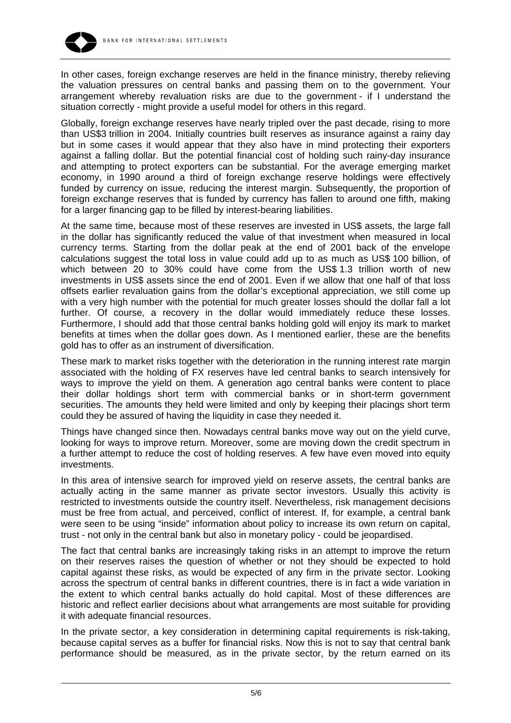

In other cases, foreign exchange reserves are held in the finance ministry, thereby relieving the valuation pressures on central banks and passing them on to the government. Your arrangement whereby revaluation risks are due to the government - if I understand the situation correctly - might provide a useful model for others in this regard.

Globally, foreign exchange reserves have nearly tripled over the past decade, rising to more than US\$3 trillion in 2004. Initially countries built reserves as insurance against a rainy day but in some cases it would appear that they also have in mind protecting their exporters against a falling dollar. But the potential financial cost of holding such rainy-day insurance and attempting to protect exporters can be substantial. For the average emerging market economy, in 1990 around a third of foreign exchange reserve holdings were effectively funded by currency on issue, reducing the interest margin. Subsequently, the proportion of foreign exchange reserves that is funded by currency has fallen to around one fifth, making for a larger financing gap to be filled by interest-bearing liabilities.

At the same time, because most of these reserves are invested in US\$ assets, the large fall in the dollar has significantly reduced the value of that investment when measured in local currency terms. Starting from the dollar peak at the end of 2001 back of the envelope calculations suggest the total loss in value could add up to as much as US\$ 100 billion, of which between 20 to 30% could have come from the US\$ 1.3 trillion worth of new investments in US\$ assets since the end of 2001. Even if we allow that one half of that loss offsets earlier revaluation gains from the dollar's exceptional appreciation, we still come up with a very high number with the potential for much greater losses should the dollar fall a lot further. Of course, a recovery in the dollar would immediately reduce these losses. Furthermore, I should add that those central banks holding gold will enjoy its mark to market benefits at times when the dollar goes down. As I mentioned earlier, these are the benefits gold has to offer as an instrument of diversification.

These mark to market risks together with the deterioration in the running interest rate margin associated with the holding of FX reserves have led central banks to search intensively for ways to improve the yield on them. A generation ago central banks were content to place their dollar holdings short term with commercial banks or in short-term government securities. The amounts they held were limited and only by keeping their placings short term could they be assured of having the liquidity in case they needed it.

Things have changed since then. Nowadays central banks move way out on the yield curve, looking for ways to improve return. Moreover, some are moving down the credit spectrum in a further attempt to reduce the cost of holding reserves. A few have even moved into equity investments.

In this area of intensive search for improved yield on reserve assets, the central banks are actually acting in the same manner as private sector investors. Usually this activity is restricted to investments outside the country itself. Nevertheless, risk management decisions must be free from actual, and perceived, conflict of interest. If, for example, a central bank were seen to be using "inside" information about policy to increase its own return on capital, trust - not only in the central bank but also in monetary policy - could be jeopardised.

The fact that central banks are increasingly taking risks in an attempt to improve the return on their reserves raises the question of whether or not they should be expected to hold capital against these risks, as would be expected of any firm in the private sector. Looking across the spectrum of central banks in different countries, there is in fact a wide variation in the extent to which central banks actually do hold capital. Most of these differences are historic and reflect earlier decisions about what arrangements are most suitable for providing it with adequate financial resources.

In the private sector, a key consideration in determining capital requirements is risk-taking, because capital serves as a buffer for financial risks. Now this is not to say that central bank performance should be measured, as in the private sector, by the return earned on its